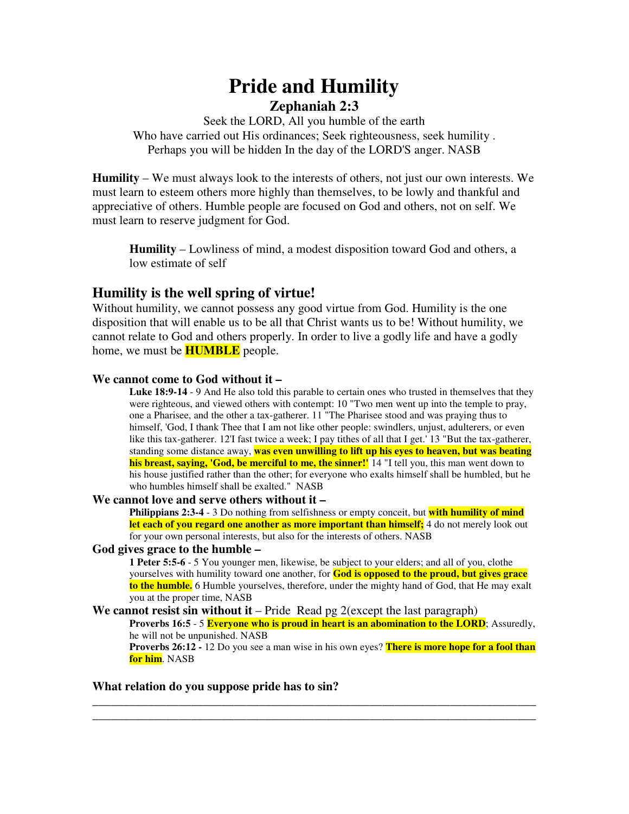# **Pride and Humility Zephaniah 2:3**

Seek the LORD, All you humble of the earth Who have carried out His ordinances; Seek righteousness, seek humility . Perhaps you will be hidden In the day of the LORD'S anger. NASB

**Humility** – We must always look to the interests of others, not just our own interests. We must learn to esteem others more highly than themselves, to be lowly and thankful and appreciative of others. Humble people are focused on God and others, not on self. We must learn to reserve judgment for God.

**Humility** – Lowliness of mind, a modest disposition toward God and others, a low estimate of self

# **Humility is the well spring of virtue!**

Without humility, we cannot possess any good virtue from God. Humility is the one disposition that will enable us to be all that Christ wants us to be! Without humility, we cannot relate to God and others properly. In order to live a godly life and have a godly home, we must be **HUMBLE** people.

# **We cannot come to God without it –**

**Luke 18:9-14** - 9 And He also told this parable to certain ones who trusted in themselves that they were righteous, and viewed others with contempt: 10 "Two men went up into the temple to pray, one a Pharisee, and the other a tax-gatherer. 11 "The Pharisee stood and was praying thus to himself, 'God, I thank Thee that I am not like other people: swindlers, unjust, adulterers, or even like this tax-gatherer. 12'I fast twice a week; I pay tithes of all that I get.' 13 "But the tax-gatherer, standing some distance away, **was even unwilling to lift up his eyes to heaven, but was beating his breast, saying, 'God, be merciful to me, the sinner!'** 14 "I tell you, this man went down to his house justified rather than the other; for everyone who exalts himself shall be humbled, but he who humbles himself shall be exalted." NASB

# **We cannot love and serve others without it –**

**Philippians 2:3-4** - 3 Do nothing from selfishness or empty conceit, but **with humility of mind let each of you regard one another as more important than himself;** 4 do not merely look out for your own personal interests, but also for the interests of others. NASB

## **God gives grace to the humble –**

**1 Peter 5:5-6** - 5 You younger men, likewise, be subject to your elders; and all of you, clothe yourselves with humility toward one another, for **God is opposed to the proud, but gives grace to the humble.** 6 Humble yourselves, therefore, under the mighty hand of God, that He may exalt you at the proper time, NASB

## **We cannot resist sin without it** – Pride Read pg 2(except the last paragraph)

**Proverbs 16:5** - 5 **Everyone who is proud in heart is an abomination to the LORD**; Assuredly, he will not be unpunished. NASB

**Proverbs 26:12 -** 12 Do you see a man wise in his own eyes? **There is more hope for a fool than for him**. NASB

**\_\_\_\_\_\_\_\_\_\_\_\_\_\_\_\_\_\_\_\_\_\_\_\_\_\_\_\_\_\_\_\_\_\_\_\_\_\_\_\_\_\_\_\_\_\_\_\_\_\_\_\_\_\_\_\_\_\_\_\_\_\_\_\_\_\_\_\_\_\_\_\_ \_\_\_\_\_\_\_\_\_\_\_\_\_\_\_\_\_\_\_\_\_\_\_\_\_\_\_\_\_\_\_\_\_\_\_\_\_\_\_\_\_\_\_\_\_\_\_\_\_\_\_\_\_\_\_\_\_\_\_\_\_\_\_\_\_\_\_\_\_\_\_\_**

# **What relation do you suppose pride has to sin?**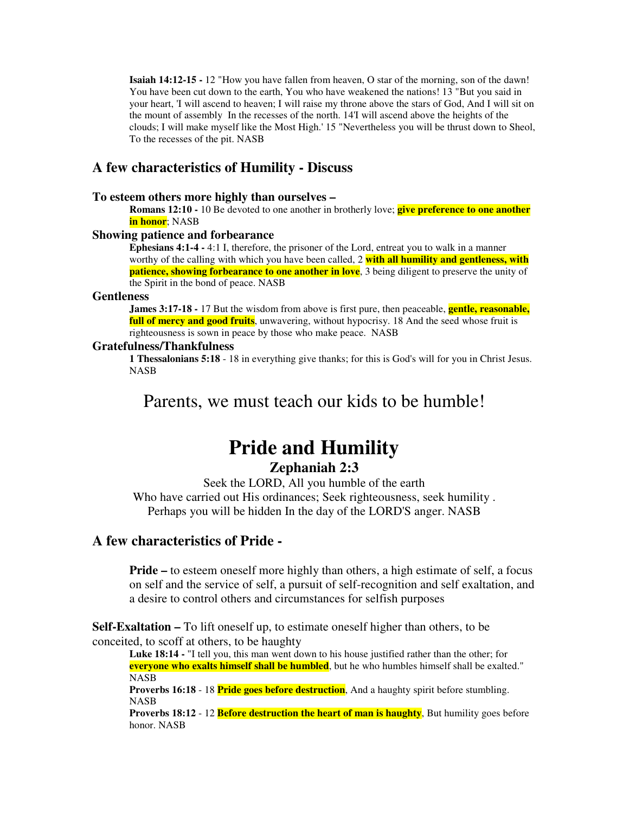**Isaiah 14:12-15 -** 12 "How you have fallen from heaven, O star of the morning, son of the dawn! You have been cut down to the earth, You who have weakened the nations! 13 "But you said in your heart, 'I will ascend to heaven; I will raise my throne above the stars of God, And I will sit on the mount of assembly In the recesses of the north. 14'I will ascend above the heights of the clouds; I will make myself like the Most High.' 15 "Nevertheless you will be thrust down to Sheol, To the recesses of the pit. NASB

# **A few characteristics of Humility - Discuss**

#### **To esteem others more highly than ourselves –**

**Romans 12:10 -** 10 Be devoted to one another in brotherly love; **give preference to one another in honor**; NASB

#### **Showing patience and forbearance**

**Ephesians 4:1-4 -** 4:1 I, therefore, the prisoner of the Lord, entreat you to walk in a manner worthy of the calling with which you have been called, 2 **with all humility and gentleness, with patience, showing forbearance to one another in love**, 3 being diligent to preserve the unity of the Spirit in the bond of peace. NASB

#### **Gentleness**

**James 3:17-18 -** 17 But the wisdom from above is first pure, then peaceable, **gentle, reasonable, full of mercy and good fruits**, unwavering, without hypocrisy. 18 And the seed whose fruit is righteousness is sown in peace by those who make peace. NASB

#### **Gratefulness/Thankfulness**

**1 Thessalonians 5:18** - 18 in everything give thanks; for this is God's will for you in Christ Jesus. NASB

# Parents, we must teach our kids to be humble!

# **Pride and Humility Zephaniah 2:3**

Seek the LORD, All you humble of the earth Who have carried out His ordinances; Seek righteousness, seek humility . Perhaps you will be hidden In the day of the LORD'S anger. NASB

# **A few characteristics of Pride -**

**Pride** – to esteem oneself more highly than others, a high estimate of self, a focus on self and the service of self, a pursuit of self-recognition and self exaltation, and a desire to control others and circumstances for selfish purposes

**Self-Exaltation –** To lift oneself up, to estimate oneself higher than others, to be conceited, to scoff at others, to be haughty

**Luke 18:14 -** "I tell you, this man went down to his house justified rather than the other; for **everyone who exalts himself shall be humbled**, but he who humbles himself shall be exalted." NASB

**Proverbs 16:18** - 18 **Pride goes before destruction**, And a haughty spirit before stumbling. NASB

**Proverbs 18:12** - 12 **Before destruction the heart of man is haughty**, But humility goes before honor. NASB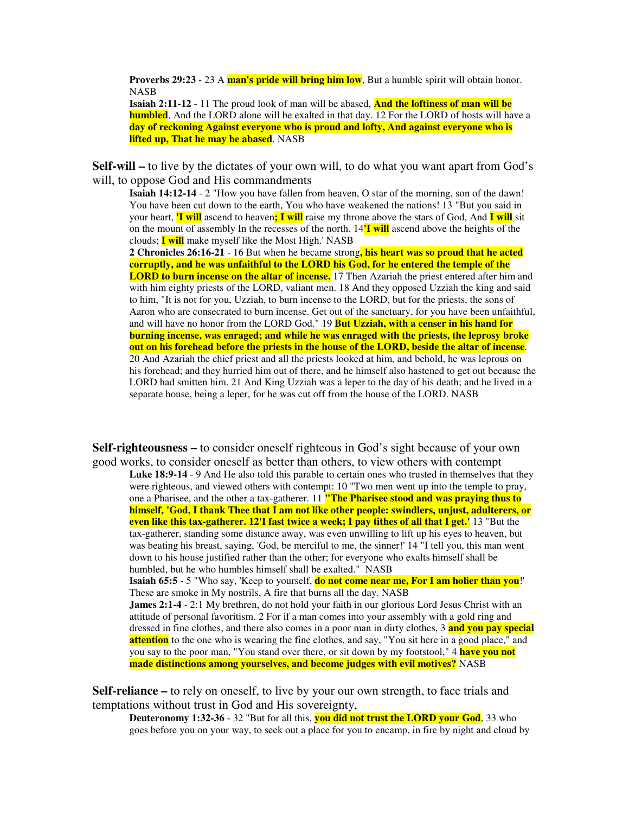**Proverbs 29:23** - 23 A **man's pride will bring him low**, But a humble spirit will obtain honor. NASB

**Isaiah 2:11-12** - 11 The proud look of man will be abased, **And the loftiness of man will be humbled**, And the LORD alone will be exalted in that day. 12 For the LORD of hosts will have a **day of reckoning Against everyone who is proud and lofty, And against everyone who is lifted up, That he may be abased**. NASB

**Self-will –** to live by the dictates of your own will, to do what you want apart from God's will, to oppose God and His commandments

**Isaiah 14:12-14** - 2 "How you have fallen from heaven, O star of the morning, son of the dawn! You have been cut down to the earth, You who have weakened the nations! 13 "But you said in your heart, **'I will** ascend to heaven**; I will** raise my throne above the stars of God, And **I will** sit on the mount of assembly In the recesses of the north. 14**'I will** ascend above the heights of the clouds; **I will** make myself like the Most High.' NASB

**2 Chronicles 26:16-21** - 16 But when he became strong**, his heart was so proud that he acted corruptly, and he was unfaithful to the LORD his God, for he entered the temple of the LORD to burn incense on the altar of incense.** 17 Then Azariah the priest entered after him and with him eighty priests of the LORD, valiant men. 18 And they opposed Uzziah the king and said to him, "It is not for you, Uzziah, to burn incense to the LORD, but for the priests, the sons of Aaron who are consecrated to burn incense. Get out of the sanctuary, for you have been unfaithful, and will have no honor from the LORD God." 19 **But Uzziah, with a censer in his hand for burning incense, was enraged; and while he was enraged with the priests, the leprosy broke out on his forehead before the priests in the house of the LORD, beside the altar of incense**. 20 And Azariah the chief priest and all the priests looked at him, and behold, he was leprous on his forehead; and they hurried him out of there, and he himself also hastened to get out because the LORD had smitten him. 21 And King Uzziah was a leper to the day of his death; and he lived in a separate house, being a leper, for he was cut off from the house of the LORD. NASB

**Self-righteousness –** to consider oneself righteous in God's sight because of your own good works, to consider oneself as better than others, to view others with contempt

**Luke 18:9-14** - 9 And He also told this parable to certain ones who trusted in themselves that they were righteous, and viewed others with contempt: 10 "Two men went up into the temple to pray, one a Pharisee, and the other a tax-gatherer. 11 **"The Pharisee stood and was praying thus to himself, 'God, I thank Thee that I am not like other people: swindlers, unjust, adulterers, or even like this tax-gatherer. 12'I fast twice a week; I pay tithes of all that I get.'** 13 "But the tax-gatherer, standing some distance away, was even unwilling to lift up his eyes to heaven, but was beating his breast, saying, 'God, be merciful to me, the sinner!' 14 "I tell you, this man went down to his house justified rather than the other; for everyone who exalts himself shall be humbled, but he who humbles himself shall be exalted." NASB

**Isaiah 65:5** - 5 "Who say, 'Keep to yourself, **do not come near me, For I am holier than you**!' These are smoke in My nostrils, A fire that burns all the day. NASB

**James 2:1-4** - 2:1 My brethren, do not hold your faith in our glorious Lord Jesus Christ with an attitude of personal favoritism. 2 For if a man comes into your assembly with a gold ring and dressed in fine clothes, and there also comes in a poor man in dirty clothes, 3 **and you pay special attention** to the one who is wearing the fine clothes, and say, "You sit here in a good place," and you say to the poor man, "You stand over there, or sit down by my footstool," 4 **have you not made distinctions among yourselves, and become judges with evil motives?** NASB

**Self-reliance –** to rely on oneself, to live by your our own strength, to face trials and temptations without trust in God and His sovereignty,

**Deuteronomy 1:32-36** - 32 "But for all this, **you did not trust the LORD your God**, 33 who goes before you on your way, to seek out a place for you to encamp, in fire by night and cloud by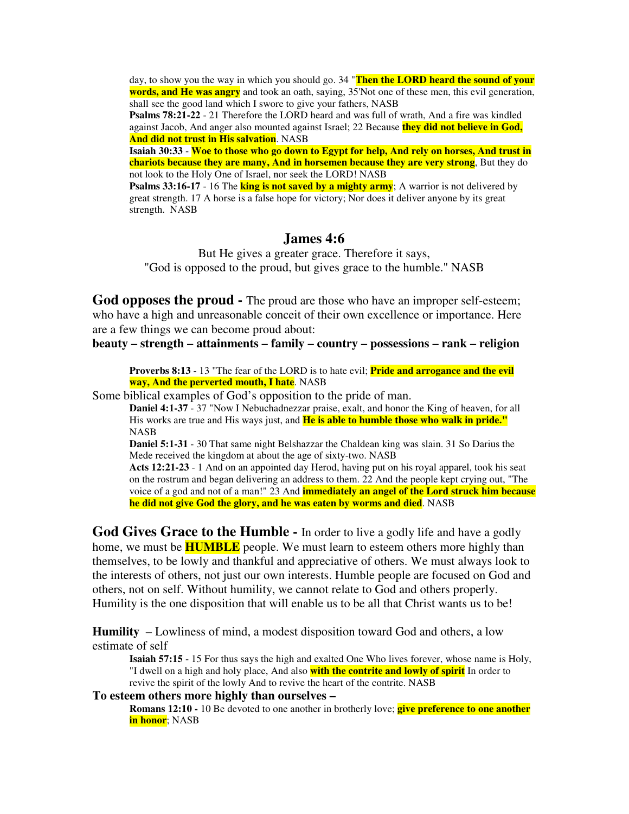day, to show you the way in which you should go. 34 "**Then the LORD heard the sound of your words, and He was angry** and took an oath, saying, 35'Not one of these men, this evil generation, shall see the good land which I swore to give your fathers, NASB

**Psalms 78:21-22** - 21 Therefore the LORD heard and was full of wrath, And a fire was kindled against Jacob, And anger also mounted against Israel; 22 Because **they did not believe in God, And did not trust in His salvation**. NASB

**Isaiah 30:33** - **Woe to those who go down to Egypt for help, And rely on horses, And trust in chariots because they are many, And in horsemen because they are very strong**, But they do not look to the Holy One of Israel, nor seek the LORD! NASB

**Psalms 33:16-17** - 16 The **king is not saved by a mighty army**; A warrior is not delivered by great strength. 17 A horse is a false hope for victory; Nor does it deliver anyone by its great strength. NASB

# **James 4:6**

But He gives a greater grace. Therefore it says, "God is opposed to the proud, but gives grace to the humble." NASB

**God opposes the proud -** The proud are those who have an improper self-esteem; who have a high and unreasonable conceit of their own excellence or importance. Here are a few things we can become proud about:

**beauty – strength – attainments – family – country – possessions – rank – religion**

**Proverbs 8:13** - 13 "The fear of the LORD is to hate evil; **Pride and arrogance and the evil way, And the perverted mouth, I hate**. NASB

Some biblical examples of God's opposition to the pride of man.

**Daniel 4:1-37** - 37 "Now I Nebuchadnezzar praise, exalt, and honor the King of heaven, for all His works are true and His ways just, and **He is able to humble those who walk in pride."** NASB

**Daniel 5:1-31** - 30 That same night Belshazzar the Chaldean king was slain. 31 So Darius the Mede received the kingdom at about the age of sixty-two. NASB

**Acts 12:21-23** - 1 And on an appointed day Herod, having put on his royal apparel, took his seat on the rostrum and began delivering an address to them. 22 And the people kept crying out, "The voice of a god and not of a man!" 23 And **immediately an angel of the Lord struck him because he did not give God the glory, and he was eaten by worms and died**. NASB

**God Gives Grace to the Humble -** In order to live a godly life and have a godly home, we must be **HUMBLE** people. We must learn to esteem others more highly than themselves, to be lowly and thankful and appreciative of others. We must always look to the interests of others, not just our own interests. Humble people are focused on God and others, not on self. Without humility, we cannot relate to God and others properly. Humility is the one disposition that will enable us to be all that Christ wants us to be!

**Humility** – Lowliness of mind, a modest disposition toward God and others, a low estimate of self

**Isaiah 57:15** - 15 For thus says the high and exalted One Who lives forever, whose name is Holy, "I dwell on a high and holy place, And also **with the contrite and lowly of spirit** In order to revive the spirit of the lowly And to revive the heart of the contrite. NASB

## **To esteem others more highly than ourselves –**

**Romans 12:10 -** 10 Be devoted to one another in brotherly love; **give preference to one another in honor**; NASB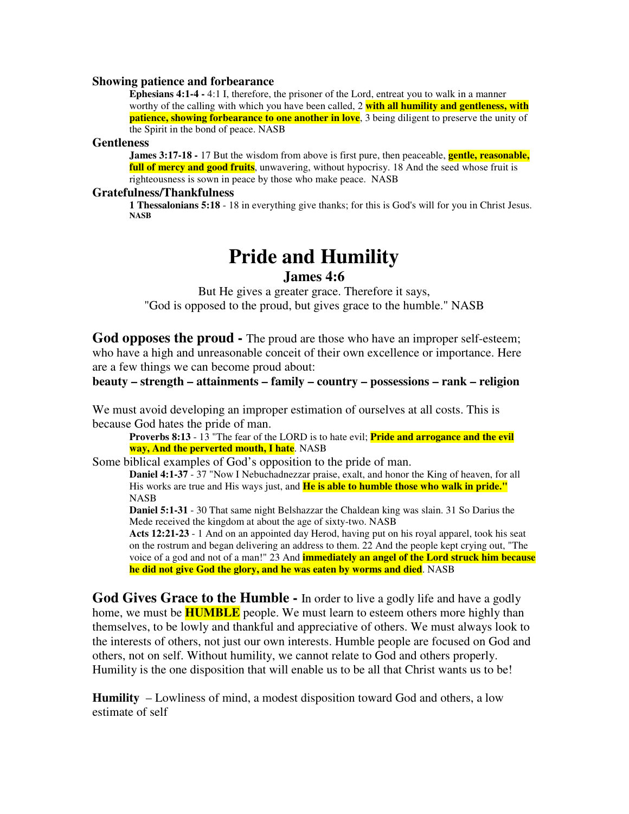#### **Showing patience and forbearance**

**Ephesians 4:1-4 -** 4:1 I, therefore, the prisoner of the Lord, entreat you to walk in a manner worthy of the calling with which you have been called, 2 **with all humility and gentleness, with patience, showing forbearance to one another in love**, 3 being diligent to preserve the unity of the Spirit in the bond of peace. NASB

#### **Gentleness**

**James 3:17-18 -** 17 But the wisdom from above is first pure, then peaceable, **gentle, reasonable, full of mercy and good fruits**, unwavering, without hypocrisy. 18 And the seed whose fruit is righteousness is sown in peace by those who make peace. NASB

#### **Gratefulness/Thankfulness**

**1 Thessalonians 5:18** - 18 in everything give thanks; for this is God's will for you in Christ Jesus. **NASB**

# **Pride and Humility**

# **James 4:6**

But He gives a greater grace. Therefore it says, "God is opposed to the proud, but gives grace to the humble." NASB

**God opposes the proud -** The proud are those who have an improper self-esteem; who have a high and unreasonable conceit of their own excellence or importance. Here are a few things we can become proud about:

# **beauty – strength – attainments – family – country – possessions – rank – religion**

We must avoid developing an improper estimation of ourselves at all costs. This is because God hates the pride of man.

**Proverbs 8:13** - 13 "The fear of the LORD is to hate evil; **Pride and arrogance and the evil way, And the perverted mouth, I hate**. NASB

Some biblical examples of God's opposition to the pride of man.

**Daniel 4:1-37** - 37 "Now I Nebuchadnezzar praise, exalt, and honor the King of heaven, for all His works are true and His ways just, and **He is able to humble those who walk in pride."** NASB

**Daniel 5:1-31** - 30 That same night Belshazzar the Chaldean king was slain. 31 So Darius the Mede received the kingdom at about the age of sixty-two. NASB

**Acts 12:21-23** - 1 And on an appointed day Herod, having put on his royal apparel, took his seat on the rostrum and began delivering an address to them. 22 And the people kept crying out, "The voice of a god and not of a man!" 23 And **immediately an angel of the Lord struck him because he did not give God the glory, and he was eaten by worms and died**. NASB

**God Gives Grace to the Humble -** In order to live a godly life and have a godly home, we must be **HUMBLE** people. We must learn to esteem others more highly than themselves, to be lowly and thankful and appreciative of others. We must always look to the interests of others, not just our own interests. Humble people are focused on God and others, not on self. Without humility, we cannot relate to God and others properly. Humility is the one disposition that will enable us to be all that Christ wants us to be!

**Humility** – Lowliness of mind, a modest disposition toward God and others, a low estimate of self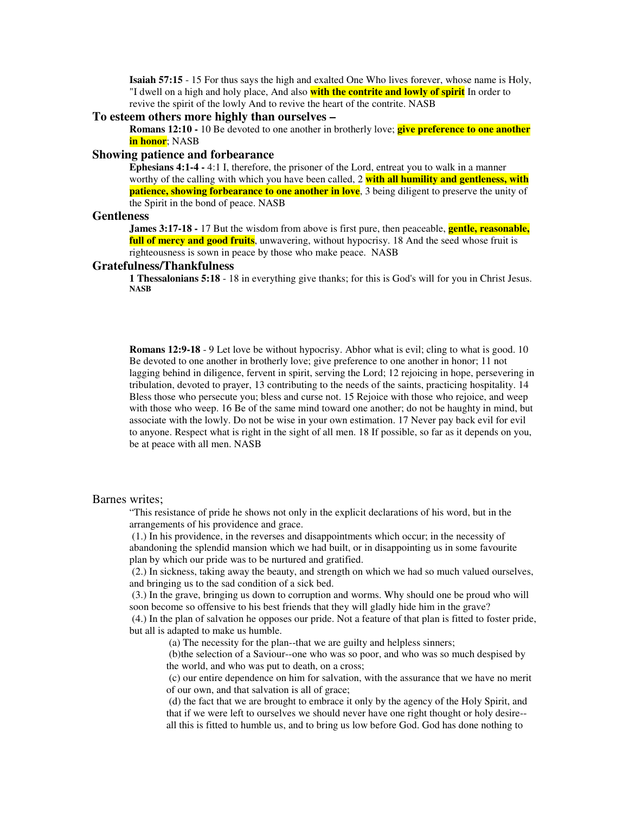**Isaiah 57:15** - 15 For thus says the high and exalted One Who lives forever, whose name is Holy, "I dwell on a high and holy place, And also **with the contrite and lowly of spirit** In order to revive the spirit of the lowly And to revive the heart of the contrite. NASB

#### **To esteem others more highly than ourselves –**

**Romans 12:10 -** 10 Be devoted to one another in brotherly love; **give preference to one another in honor**; NASB

## **Showing patience and forbearance**

**Ephesians 4:1-4 -** 4:1 I, therefore, the prisoner of the Lord, entreat you to walk in a manner worthy of the calling with which you have been called, 2 **with all humility and gentleness, with patience, showing forbearance to one another in love**, 3 being diligent to preserve the unity of the Spirit in the bond of peace. NASB

#### **Gentleness**

**James 3:17-18 -** 17 But the wisdom from above is first pure, then peaceable, **gentle, reasonable, full of mercy and good fruits**, unwavering, without hypocrisy. 18 And the seed whose fruit is righteousness is sown in peace by those who make peace. NASB

#### **Gratefulness/Thankfulness**

**1 Thessalonians 5:18** - 18 in everything give thanks; for this is God's will for you in Christ Jesus. **NASB**

**Romans 12:9-18** - 9 Let love be without hypocrisy. Abhor what is evil; cling to what is good. 10 Be devoted to one another in brotherly love; give preference to one another in honor; 11 not lagging behind in diligence, fervent in spirit, serving the Lord; 12 rejoicing in hope, persevering in tribulation, devoted to prayer, 13 contributing to the needs of the saints, practicing hospitality. 14 Bless those who persecute you; bless and curse not. 15 Rejoice with those who rejoice, and weep with those who weep. 16 Be of the same mind toward one another; do not be haughty in mind, but associate with the lowly. Do not be wise in your own estimation. 17 Never pay back evil for evil to anyone. Respect what is right in the sight of all men. 18 If possible, so far as it depends on you, be at peace with all men. NASB

#### Barnes writes;

"This resistance of pride he shows not only in the explicit declarations of his word, but in the arrangements of his providence and grace.

(1.) In his providence, in the reverses and disappointments which occur; in the necessity of abandoning the splendid mansion which we had built, or in disappointing us in some favourite plan by which our pride was to be nurtured and gratified.

(2.) In sickness, taking away the beauty, and strength on which we had so much valued ourselves, and bringing us to the sad condition of a sick bed.

(3.) In the grave, bringing us down to corruption and worms. Why should one be proud who will soon become so offensive to his best friends that they will gladly hide him in the grave?

(4.) In the plan of salvation he opposes our pride. Not a feature of that plan is fitted to foster pride, but all is adapted to make us humble.

(a) The necessity for the plan--that we are guilty and helpless sinners;

(b)the selection of a Saviour--one who was so poor, and who was so much despised by the world, and who was put to death, on a cross;

(c) our entire dependence on him for salvation, with the assurance that we have no merit of our own, and that salvation is all of grace;

(d) the fact that we are brought to embrace it only by the agency of the Holy Spirit, and that if we were left to ourselves we should never have one right thought or holy desire- all this is fitted to humble us, and to bring us low before God. God has done nothing to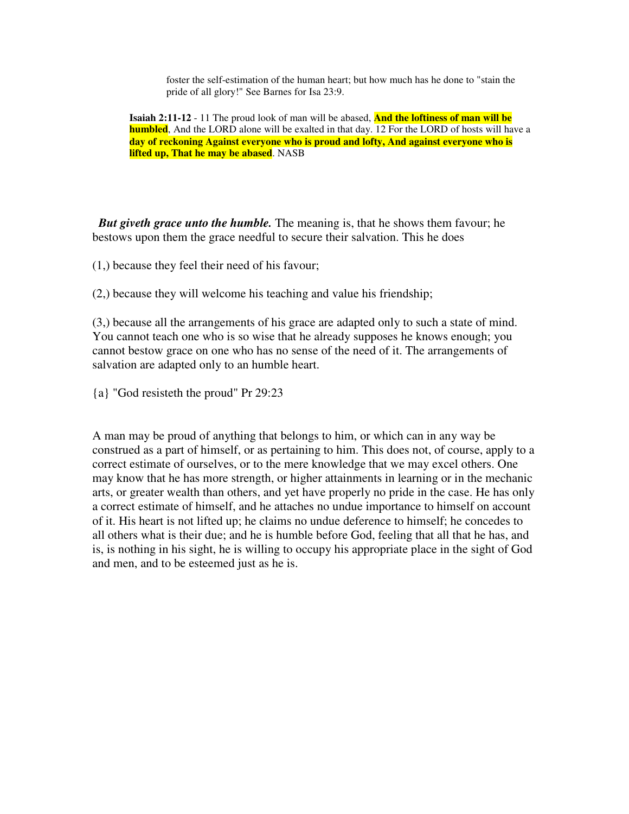foster the self-estimation of the human heart; but how much has he done to "stain the pride of all glory!" See Barnes for Isa 23:9.

**Isaiah 2:11-12** - 11 The proud look of man will be abased, **And the loftiness of man will be humbled**, And the LORD alone will be exalted in that day. 12 For the LORD of hosts will have a **day of reckoning Against everyone who is proud and lofty, And against everyone who is lifted up, That he may be abased**. NASB

*But giveth grace unto the humble.* The meaning is, that he shows them favour; he bestows upon them the grace needful to secure their salvation. This he does

(1,) because they feel their need of his favour;

(2,) because they will welcome his teaching and value his friendship;

(3,) because all the arrangements of his grace are adapted only to such a state of mind. You cannot teach one who is so wise that he already supposes he knows enough; you cannot bestow grace on one who has no sense of the need of it. The arrangements of salvation are adapted only to an humble heart.

{a} "God resisteth the proud" Pr 29:23

A man may be proud of anything that belongs to him, or which can in any way be construed as a part of himself, or as pertaining to him. This does not, of course, apply to a correct estimate of ourselves, or to the mere knowledge that we may excel others. One may know that he has more strength, or higher attainments in learning or in the mechanic arts, or greater wealth than others, and yet have properly no pride in the case. He has only a correct estimate of himself, and he attaches no undue importance to himself on account of it. His heart is not lifted up; he claims no undue deference to himself; he concedes to all others what is their due; and he is humble before God, feeling that all that he has, and is, is nothing in his sight, he is willing to occupy his appropriate place in the sight of God and men, and to be esteemed just as he is.